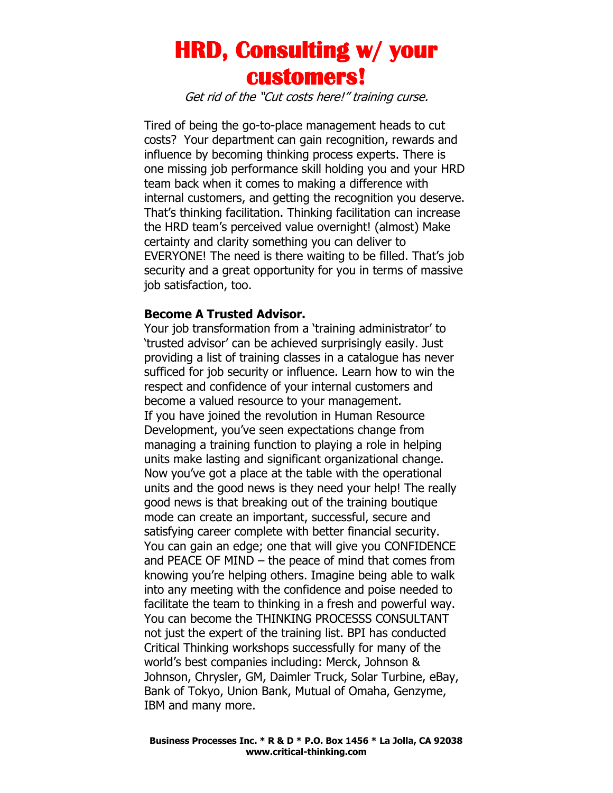## **HRD, Consulting w/ your customers!**

Get rid of the "Cut costs here!" training curse.

Tired of being the go-to-place management heads to cut costs? Your department can gain recognition, rewards and influence by becoming thinking process experts. There is one missing job performance skill holding you and your HRD team back when it comes to making a difference with internal customers, and getting the recognition you deserve. That's thinking facilitation. Thinking facilitation can increase the HRD team's perceived value overnight! (almost) Make certainty and clarity something you can deliver to EVERYONE! The need is there waiting to be filled. That's job security and a great opportunity for you in terms of massive job satisfaction, too.

## **Become A Trusted Advisor.**

Your job transformation from a 'training administrator' to 'trusted advisor' can be achieved surprisingly easily. Just providing a list of training classes in a catalogue has never sufficed for job security or influence. Learn how to win the respect and confidence of your internal customers and become a valued resource to your management. If you have joined the revolution in Human Resource Development, you've seen expectations change from managing a training function to playing a role in helping units make lasting and significant organizational change. Now you've got a place at the table with the operational units and the good news is they need your help! The really good news is that breaking out of the training boutique mode can create an important, successful, secure and satisfying career complete with better financial security. You can gain an edge; one that will give you CONFIDENCE and PEACE OF MIND – the peace of mind that comes from knowing you're helping others. Imagine being able to walk into any meeting with the confidence and poise needed to facilitate the team to thinking in a fresh and powerful way. You can become the THINKING PROCESSS CONSULTANT not just the expert of the training list. BPI has conducted Critical Thinking workshops successfully for many of the world's best companies including: Merck, Johnson & Johnson, Chrysler, GM, Daimler Truck, Solar Turbine, eBay, Bank of Tokyo, Union Bank, Mutual of Omaha, Genzyme, IBM and many more.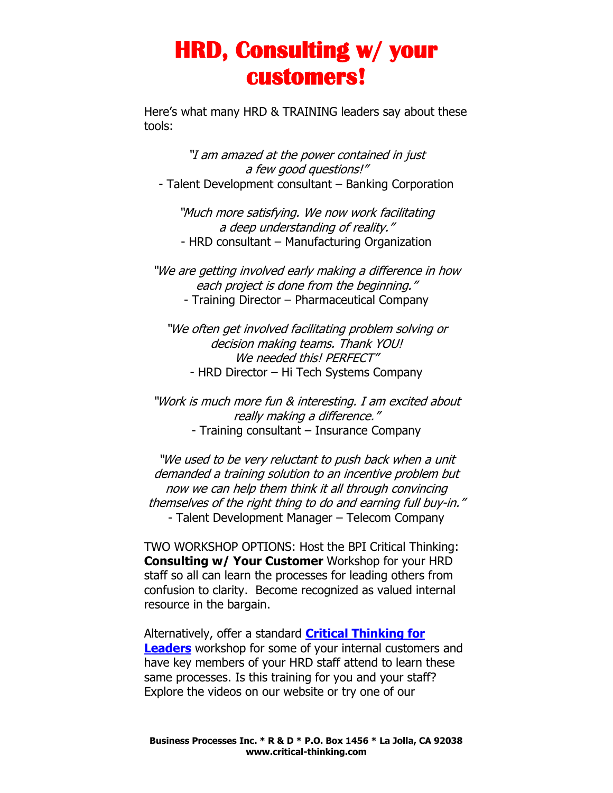## **HRD, Consulting w/ your customers!**

Here's what many HRD & TRAINING leaders say about these tools:

"I am amazed at the power contained in just a few good questions!" - Talent Development consultant – Banking Corporation

"Much more satisfying. We now work facilitating a deep understanding of reality." - HRD consultant – Manufacturing Organization

"We are getting involved early making a difference in how each project is done from the beginning." - Training Director – Pharmaceutical Company

"We often get involved facilitating problem solving or decision making teams. Thank YOU! We needed this! PERFECT" - HRD Director – Hi Tech Systems Company

"Work is much more fun & interesting. I am excited about really making a difference." - Training consultant – Insurance Company

"We used to be very reluctant to push back when a unit demanded a training solution to an incentive problem but now we can help them think it all through convincing themselves of the right thing to do and earning full buy-in." - Talent Development Manager – Telecom Company

TWO WORKSHOP OPTIONS: Host the BPI Critical Thinking: **Consulting w/ Your Customer** Workshop for your HRD staff so all can learn the processes for leading others from confusion to clarity. Become recognized as valued internal resource in the bargain.

Alternatively, offer a standard **[Critical Thinking for](http://www.critical-thinking.com/workshops/critical-thinking-for-leaders)  [Leaders](http://www.critical-thinking.com/workshops/critical-thinking-for-leaders)** workshop for some of your internal customers and have key members of your HRD staff attend to learn these same processes. Is this training for you and your staff? Explore the videos on our website or try one of our